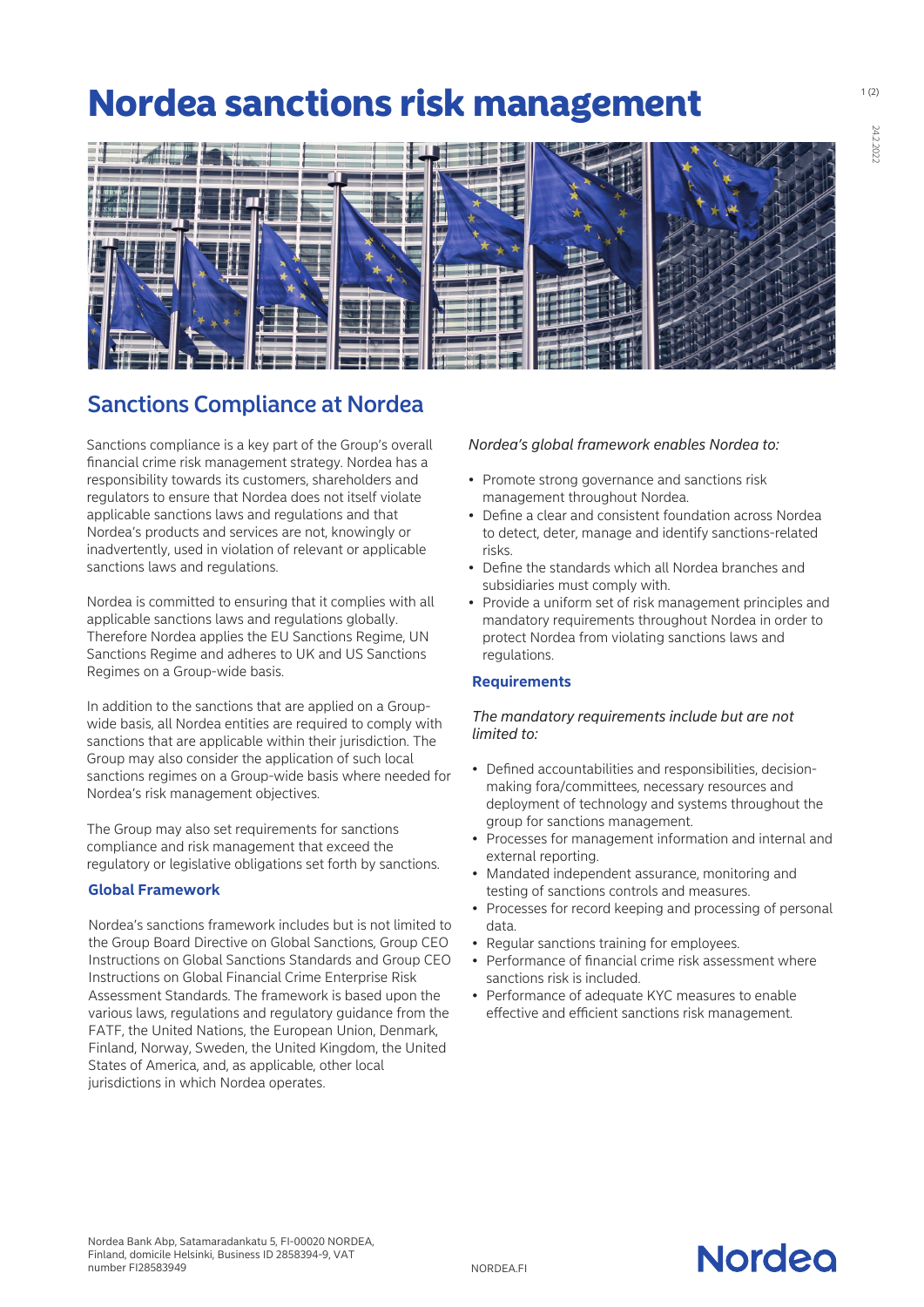# Nordea sanctions risk management



# Sanctions Compliance at Nordea

Sanctions compliance is a key part of the Group's overall fnancial crime risk management strategy. Nordea has a responsibility towards its customers, shareholders and regulators to ensure that Nordea does not itself violate applicable sanctions laws and regulations and that Nordea's products and services are not, knowingly or inadvertently, used in violation of relevant or applicable sanctions laws and regulations.

Nordea is committed to ensuring that it complies with all applicable sanctions laws and regulations globally. Therefore Nordea applies the EU Sanctions Regime, UN Sanctions Regime and adheres to UK and US Sanctions Regimes on a Group-wide basis.

In addition to the sanctions that are applied on a Groupwide basis, all Nordea entities are required to comply with sanctions that are applicable within their jurisdiction. The Group may also consider the application of such local sanctions regimes on a Group-wide basis where needed for Nordea's risk management objectives.

The Group may also set requirements for sanctions compliance and risk management that exceed the regulatory or legislative obligations set forth by sanctions.

# **Global Framework**

Nordea's sanctions framework includes but is not limited to the Group Board Directive on Global Sanctions, Group CEO Instructions on Global Sanctions Standards and Group CEO Instructions on Global Financial Crime Enterprise Risk Assessment Standards. The framework is based upon the various laws, regulations and regulatory guidance from the FATF, the United Nations, the European Union, Denmark, Finland, Norway, Sweden, the United Kingdom, the United States of America, and, as applicable, other local jurisdictions in which Nordea operates.

#### *Nordea's global framework enables Nordea to:*

- Promote strong governance and sanctions risk management throughout Nordea.
- Defne a clear and consistent foundation across Nordea to detect, deter, manage and identify sanctions-related risks.
- Defne the standards which all Nordea branches and subsidiaries must comply with.
- Provide a uniform set of risk management principles and mandatory requirements throughout Nordea in order to protect Nordea from violating sanctions laws and regulations.

# **Requirements**

# *The mandatory requirements include but are not limited to:*

- Defned accountabilities and responsibilities, decisionmaking fora/committees, necessary resources and deployment of technology and systems throughout the group for sanctions management.
- Processes for management information and internal and external reporting.
- Mandated independent assurance, monitoring and testing of sanctions controls and measures.
- Processes for record keeping and processing of personal data.
- Regular sanctions training for employees.
- Performance of fnancial crime risk assessment where sanctions risk is included.
- Performance of adequate KYC measures to enable effective and efficient sanctions risk management.



24.2.2022

24.2.202